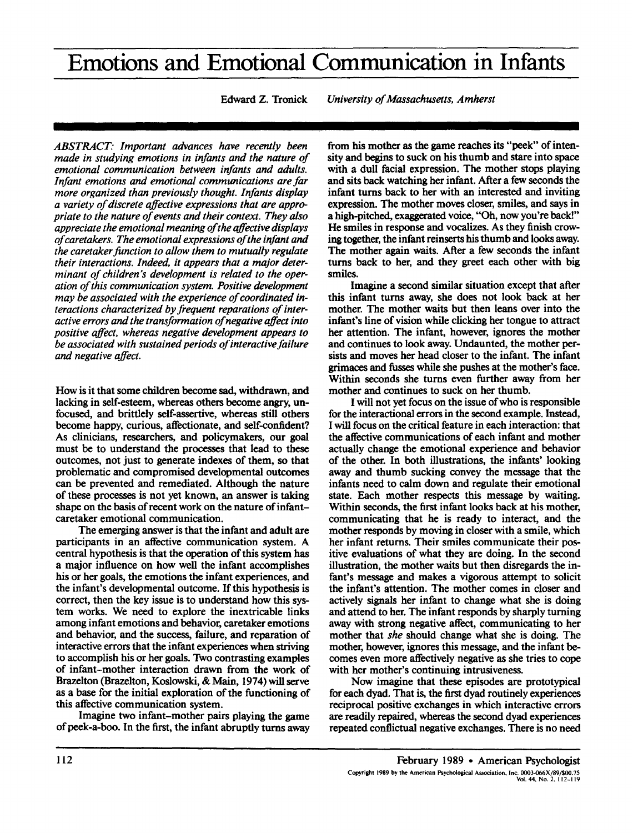# **Emotions and Emotional Communication in Infants**

Edward Z. Tronick *University of Massachusetts, Amherst* 

*ABSTRACT: Important advances have recently been made in studying emotions in infants and the nature of emotional communication between infants and adults. Infant emotions and emotional communications are far more organized than previously thought. Infants display a variety of discrete affective expressions that are appropriate to the nature of events and their context. They also appreciate the emotional meaning of the affective displays of caretakers. The emotional expressions of the infant and the caretaker function to allow them to mutually regulate their interactions. Indeed, it appears that a major determinant of children's development is related to the operation of this communication system. Positive development may be associated with the experience of coordinated interactions characterized by frequent reparations of interactive errors and the transformation of negative affect into positive affect, whereas negative development appears to be associated with sustained periods of interactive failure and negative affect.* 

How is it that some children become sad, withdrawn, and lacking in self-esteem, whereas others become angry, unfocused, and brittlely self-assertive, whereas still others become happy, curious, affectionate, and self-confident? As clinicians, researchers, and polieymakers, our goal must be to understand the processes that lead to these outcomes, not just to generate indexes of them, so that problematic and compromised developmental outcomes can be prevented and remediated. Although the nature of these processes is not yet known, an answer is taking shape on the basis of recent work on the nature of infantcaretaker emotional communication.

The emerging answer is that the infant and adult are participants in an affective communication system. A central hypothesis is that the operation of this system has a major influence on how well the infant accomplishes his or her goals, the emotions the infant experiences, and the infant's developmental outcome. If this hypothesis is correct, then the key issue is to understand how this system works. We need to explore the inextricable links among infant emotions and behavior, caretaker emotions and behavior, and the success, failure, and reparation of interactive errors that the infant experiences when striving to accomplish his or her goals. Two contrasting examples of infant-mother interaction drawn from the work of Brazelton (Brazelton, Koslowski, & Main, 1974) will serve as a base for the initial exploration of the functioning of this affective communication system.

Imagine two infant-mother pairs playing the game of peek-a-boo. In the first, the infant abruptly turns away from his mother as the game reaches its "peek" of intensity and begins to suck on his thumb and stare into space with a dull facial expression. The mother stops playing and sits back watching her infant. After a few seconds the infant turns back to her with an interested and inviting expression. The mother moves closer, smiles, and says in a high-pitched, exaggerated voice, "Oh, now you're back!" He smiles in response and vocalizes. As they finish crowing together, the infant reinserts his thumb and looks away. The mother again waits. After a few seconds the infant turns back to her, and they greet each other with big smiles.

Imagine a second similar situation except that after this infant turns away, she does not look back at her mother. The mother waits but then leans over into the infant's line of vision while clicking her tongue to attract her attention. The infant, however, ignores the mother and continues to look away. Undaunted, the mother persists and moves her head closer to the infant. The infant grimaces and fusses while she pushes at the mother's face. Within seconds she turns even further away from her mother and continues to suck on her thumb.

I will not yet focus on the issue of who is responsible for the interactional errors in the second example. Instead, I will focus on the critical feature in each interaction: that the affeetive communications of each infant and mother actually change the emotional experience and behavior of the other. In both illustrations, the infants' looking away and thumb sucking convey the message that the infants need to calm down and regulate their emotional state. Each mother respects this message by waiting. Within seconds, the first infant looks back at his mother, communicating that he is ready to interact, and the mother responds by moving in closer with a smile, which her infant returns. Their smiles communicate their positive evaluations of what they are doing. In the second illustration, the mother waits but then disregards the infant's message and makes a vigorous attempt to solicit the infant's attention. The mother comes in closer and actively signals her infant to change what she is doing and attend to her. The infant responds by sharply turning away with strong negative affect, communicating to her mother that *she* should change what she is doing. The mother, however, ignores this message, and the infant becomes even more affectively negative as she tries to cope with her mother's continuing intrusiveness.

Now imagine that these episodes are prototypical for each dyad. That is, the first dyad routinely experiences reciprocal positive exchanges in which interactive errors are readily repaired, whereas the second dyad experiences repeated conflictual negative exchanges. There is no need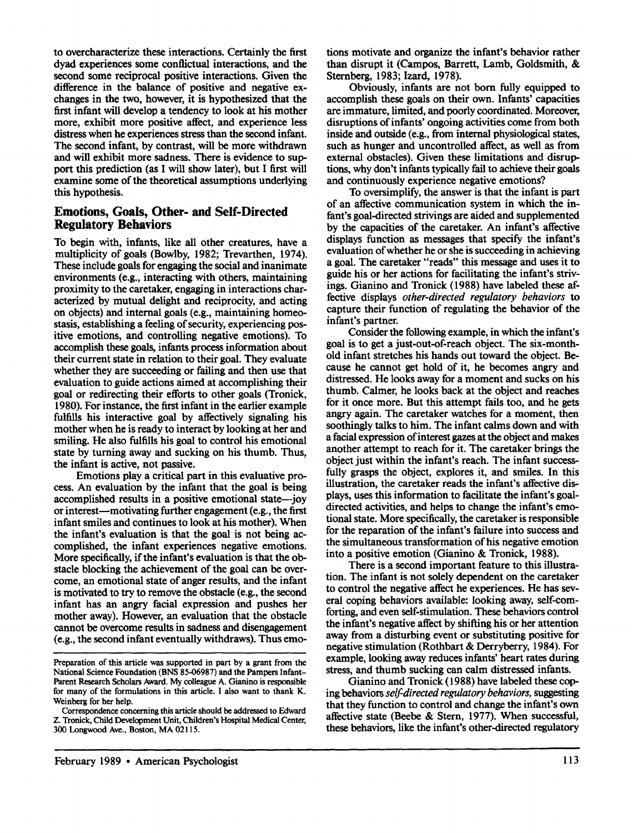to overcharacterize these interactions. Certainly the first dyad experiences some conflictual interactions, and the second some reciprocal positive interactions. Given the difference in the balance of positive and negative exchanges in the two, however, it is hypothesized that the first infant will develop a tendency to look at his mother more, exhibit more positive affect, and experience less distress when he experiences stress than the second infant. The second infant, by contrast, will be more withdrawn and will exhibit more sadness. There is evidence to support this prediction (as I will show later), but I first will examine some of the theoretical assumptions underlying this hypothesis.

### **Emotions, Goals, Other- and Self-Directed Regulatory** Behaviors

To begin with, infants, like all other creatures, have a multiplicity of goals (Bowlby, 1982; Trevarthen, 1974). These include goals for engaging the social and inanimate environments (e.g., interacting with others, maintaining proximity to the caretaker, engaging in interactions characterized by mutual delight and reciprocity, and acting on objects) and internal goals (e.g., maintaining homeostasis, establishing a feeling of security, experiencing positive emotions, and controlling negative emotions). To accomplish these goals, infants process information about their current state in relation to their goal. They evaluate whether they are succeeding or failing and then use that evaluation to guide actions aimed at accomplishing their goal or redirecting their efforts to other goals (Tronick, 1980). For instance, the first infant in the earlier example fulfills his interactive goal by affectively signaling his mother when he is ready to interact by looking at her and smiling. He also fulfills his goal to control his emotional state by turning away and sucking on his thumb. Thus, the infant is active, not passive.

Emotions play a critical part in this evaluative process. An evaluation by the infant that the goal is being accomplished results in a positive emotional state--joy or interest--motivating further engagement (e.g., the first infant smiles and continues to look at his mother). When the infant's evaluation is that the goal is not being accomplished, the infant experiences negative emotions. More specifically, if the infant's evaluation is that the obstacle blocking the achievement of the goal can be overcome, an emotional state of anger results, and the infant is motivated to try to remove the obstacle (e.g., the second infant has an angry facial expression and pushes her mother away). However, an evaluation that the obstacle cannot be overcome results in sadness and disengagement (e.g., the second infant eventually withdraws). Thus emotions motivate and organize the infant's behavior rather than disrupt it (Campos, Barrett, Lamb, Goldsmith, & Sternberg, 1983; Izard, 1978).

Obviously, infants are not born fully equipped to accomplish these goals on their own. Infants' capacities are immature, limited, and poorly coordinated. Moreover, disruptions of infants" ongoing activities come from both inside and outside (e.g., from internal physiological states, such as hunger and uncontrolled affect, as well as from external obstacles). Given these limitations and disruptions, why don't infants typically fail to achieve their goals and continuously experience negative emotions?

To oversimplify, the answer is that the infant is part of an affective communication system in which the infant's goal-directed strivings are aided and supplemented by the capacities of the caretaker. An infant's affective displays function as messages that specify the infant's evaluation of whether he or she is succeeding in achieving a goal. The caretaker "'reads" this message and uses it to guide his or her actions for facilitating the infant's strivings. Gianino and Tronick (1988) have labeled these affective displays *other-directed regulatory behaviors* to capture their function of regulating the behavior of the infant's partner.

Consider the following example, in which the infant's goal is to get a just-out-of-reach object. The six-monthold infant stretches his hands out toward the object. Because he cannot get hold of it, he becomes angry and distressed. He looks away for a moment and sucks on his thumb. Calmer, he looks back at the object and reaches for it once more. But this attempt fails too, and he gets angry again. The caretaker watches for a moment, then soothingly talks to him. The infant calms down and with a facial expression ofinterest gazes at the object and makes another attempt to reach for it. The caretaker brings the object just within the infant's reach. The infant successfully grasps the object, explores it, and smiles. In this illustration, the caretaker reads the infant's affective displays, uses this information to facilitate the infant's goaldirected activities, and helps to change the infant's emotional state. More specifically, the caretaker is responsible for the reparation of the infant's failure into success and the simultaneous transformation of his negative emotion into a positive emotion (Gianino & Tronick, 1988).

There is a second important feature to this illustration. The infant is not solely dependent on the caretaker to control the negative affect he experiences. He has several coping behaviors available: looking away, self-comforting, and even self-stimulation. These behaviors control the infant's negative affect by shifting his or her attention away from a disturbing event or substituting positive for negative stimulation (Rothbart & Derryberry, 1984). For example, looking away reduces infants' heart rates during stress, and thumb sucking can calm distressed infants.

Gianino and Tronick (1988) have labeled these coping behaviors *self-directed regulatory behaviors,* suggesting that they function to control and change the infant's own affective state (Beebe & Stern, 1977). When successful, these behaviors, like the infant's other-directed regulatory

Preparation of this article was supported in part by a grant from the National Science Foundation (BNS 85-06987) and the Pampers Infant-Parent Research Scholars Award. My colleague A. Gianino is responsible for many of the formulations in this article. I also want to thank K. Weinberg for her help.

Correspondence concerning this article should be addressed to Edward Z. Tronick, Child Development Unit, Children's Hospital Medical Center, 300 Longwood Ave., Boston, MA 02115.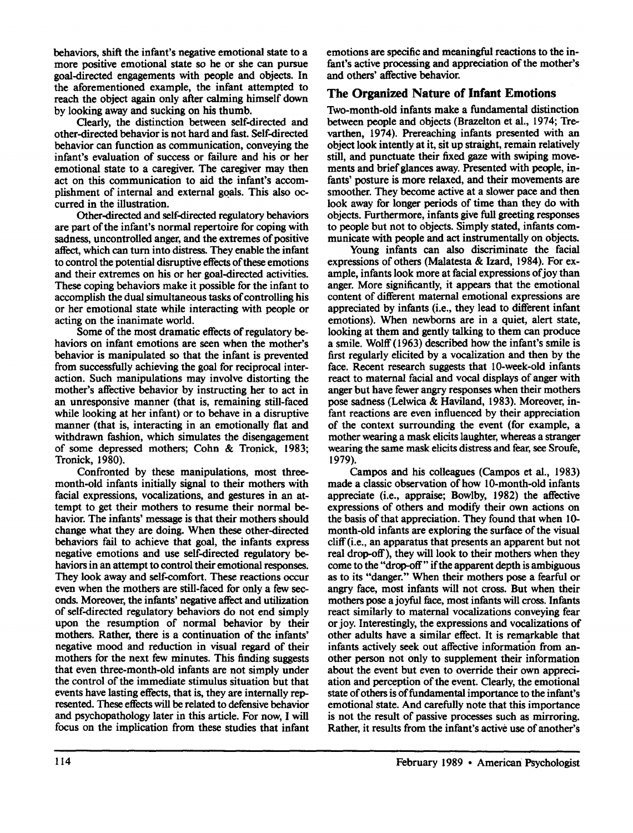behaviors, shift the infant's negative emotional state to a more positive emotional state so he or she can pursue goal-directed engagements with people and objects. In the aforementioned example, the infant attempted to reach the object again only after calming himself down by looking away and sucking on his thumb.

Clearly, the distinction between self-directed and other-directed behavior is not hard and fast. Self-directed behavior can function as communication, conveying the infant's evaluation of success or failure and his or her emotional state to a caregiver. The caregiver may then act on this communication to aid the infant's accomplishment of internal and external goals. This also occurred in the illustration.

Other-directed and self-directed regulatory behaviors are part of the infant's normal repertoire for coping with sadness, uncontrolled anger, and the extremes of positive affect, which can turn into distress. They enable the infant to control the potential disruptive effects of these emotions and their extremes on his or her goal-directed activities. These coping behaviors make it possible for the infant to accomplish the dual simultaneous tasks of controlling his or her emotional state while interacting with people or acting on the inanimate world.

Some of the most dramatic effects of regulatory behaviors on infant emotions are seen when the mother's behavior is manipulated so that the infant is prevented from successfully achieving the goal for reciprocal interaction. Such manipulations may involve distorting the mother's affective behavior by instructing her to act in an unresponsive manner (that is, remaining still-faced while looking at her infant) or to behave in a disruptive manner (that is, interacting in an emotionally flat and withdrawn fashion, which simulates the disengagement of some depressed mothers; Cohn & Tronick, 1983; Tronick, 1980).

Confronted by these manipulations, most threemonth-old infants initially signal to their mothers with facial expressions, vocalizations, and gestures in an attempt to get their mothers to resume their normal behavior. The infants' message is that their mothers should change what they are doing. When these other-directed behaviors fail to achieve that goal, the infants express negative emotions and use self-directed regulatory behaviors in an attempt to control their emotional responses. They look away and self-comfort. These reactions occur even when the mothers are still-faced for only a few seconds. Moreover, the infants' negative affect and utilization of self-directed regulatory behaviors do not end simply upon the resumption of normal behavior by their mothers. Rather, there is a continuation of the infants' negative mood and reduction in visual regard of their mothers for the next few minutes. This finding suggests that even three-month-old infants are not simply under the control of the immediate stimulus situation but that events have lasting effects, that is, they are internally represented. These effects will be related to defensive behavior and psychopathology later in this article. For now, I will focus on the implication from these studies that infant emotions are specific and meaningful reactions to the infant's active processing and appreciation of the mother's and others' alfective behavior.

## **The Organized Nature of Infant Emotions**

Two-month-old infants make a fundamental distinction between people and objects (Brazelton et al., 1974; Trevarthen, 1974). Prereaching infants presented with an object look intently at it, sit up straight, remain relatively still, and punctuate their fixed gaze with swiping move. ments and brief glances away. Presented with people, infants' posture is more relaxed, and their movements are smoother. They become active at a slower pace and then look away for longer periods of time than they do with objects. Furthermore, infants give full greeting responses to people but not to objects. Simply stated, infants communicate with people and act instrumentally on objects.

Young infants can also discriminate the facial expressions of others (Malatesta & Izard, 1984). For example, infants look more at facial expressions of joy than anger. More significantly, it appears that the emotional content of different maternal emotional expressions are appreciated by infants (i.e., they lead to different infant emotions). When newborns are in a quiet, alert state, looking at them and gently talking to them can produce a smile. Wolff (1963) described how the infant's smile is first regularly elicited by a vocalization and then by the face. Recent research suggests that 10-week-old infants react to maternal facial and vocal displays of anger with anger but have fewer angry responses when their mothers pose sadness (Lelwica & Haviland, 1983). Moreover, infant reactions are even influenced by their appreciation of the context surrounding the event (for example, a mother wearing a mask elicits laughter, whereas a stranger wearing the same mask elicits distress and fear, see Sroufe, 1979).

Campos and his colleagues (Campos et al., 1983) made a classic observation of how 10-month-old infants appreciate (i.e., appraise; Bowlby, 1982) the affective expressions of others and modify their own actions on the basis of that appreciation. They found that when 10 month-old infants are exploring the surface of the visual cliff(i.e., an apparatus that presents an apparent but not real drop-off), they will look to their mothers when they come to the "drop-off" if the apparent depth is ambiguous as to its "danger." When their mothers pose a fearful or angry face, most infants will not cross. But when their mothers pose a joyful face, most infants will cross. Infants react similarly to maternal vocalizations conveying fear or joy. Interestingly, the expressions and vocalizations of other adults have a similar effect. It is remarkable that infants actively seek out affective information from another person not only to supplement their information about the event but even to override their own appreciation and perception of the event. Clearly, the emotional state of others is of fundamental importance to the infant's emotional state. And carefully note that this importance is not the result of passive processes such as mirroring. Rather, it results from the infant's active use of another's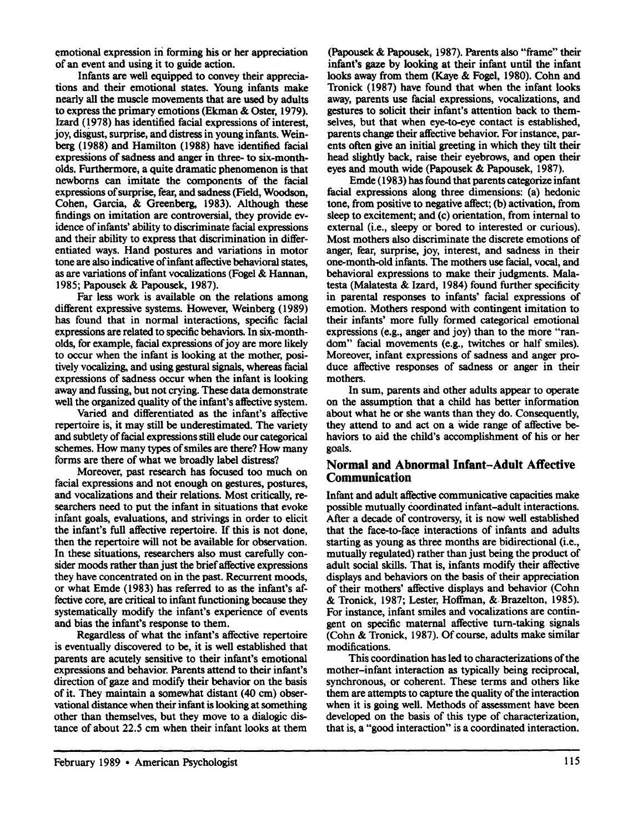emotional expression in forming his or her appreciation of an event and using it to guide action.

Infants are well equipped to convey their appreciations and their emotional states. Young infants make nearly all the muscle movements that are used by adults to express the primary emotions (Ekman & Oster, 1979). Izard (1978) has identified facial expressions of interest, joy, disgust, surprise, and distress in young infants. Weinberg (1988) and Hamilton (1988) have identified facial expressions of sadness and anger in three- to six-montholds, Furthermore, a quite dramatic phenomenon is that newborns can imitate the components of the facial expressions of surprise, fear, and sadness (Field, Woodson, Cohen, Garcia, & Greenberg, 1983). Although these findings on imitation are controversial, they provide evidence of infants' ability to discriminate facial expressions and their ability to express that discrimination in differentiated ways. Hand postures and variations in motor tone are also indicative of infant affective behavioral states, as are variations of infant vocalizations (Fogel & Hannan, 1985; Papousek & Papousek, 1987).

Far less work is available on the relations among different expressive systems. However, Weinberg (1989) has found that in normal interactions, specific facial expressions are related to specific behaviors. In six-montholds, for example, facial expressions of joy are more likely to occur when the infant is looking at the mother, positively vocalizing, and using gestural signals, whereas facial expressions of sadness occur when the infant is looking away and fussing, but not crying. These data demonstrate well the organized quality of the infant's affective system.

Varied and differentiated as the infant's affective repertoire is, it may still be underestimated. The variety and subtlety of facial expressions still elude our categorical schemes. How many types of smiles are there? How many forms are there of what we broadly label distress?

Moreover, past research has focused too much on facial expressions and not enough on gestures, postures, and vocalizations and their relations. Most critically, researchers need to put the infant in situations that evoke infant goals, evaluations, and strivings in order to elicit the infant's full affective repertoire. If this is not done, then the repertoire will not be available for observation. In these situations, researchers also must carefully consider moods rather than just the brief affective expressions they have concentrated on in the past. Recurrent moods, or what Erode (1983) has referred to as the infant's affective core, are critical to infant functioning because they systematically modify the infant's experience of events and bias the infant's response to them.

Regardless of what the infant's affective repertoire is eventually discovered to be, it is well established that parents are acutely sensitive to their infant's emotional expressions and behavior. Parents attend to their infant's direction of gaze and modify their behavior on the basis of it. They maintain a somewhat distant (40 cm) observational distance when their infant is looking at something other than themselves, but they move to a dialogic distance of about 22.5 cm when their infant looks at them

(Papousek & Papousek, 1987). Parents also "frame" their infant's gaze by looking at their infant until the infant looks away from them (Kaye & Fogel, 1980). Cohn and Tronick (1987) have found that when the infant looks away, parents use facial expressions, vocalizations, and gestures to soficit their infant's attention back to themselves, but that when eye-to-eye contact is established, parents change their atfective behavior. For instance, parents often give an initial greeting in which they tilt their head slightly back, raise their eyebrows, and open their eyes and mouth wide (Papousek & Papousek, 1987).

Emde (1983) has found that parents categorize infant facial expressions along three dimensions: (a) hedonic tone, from positive to negative affect; (b) activation, from sleep to excitement; and (c) orientation, from internal to external (i.e., sleepy or bored to interested or curious). Most mothers also discriminate the discrete emotions of anger, fear, surprise, joy, interest, and sadness in their one-month-old infants. The mothers use facial, vocal, and behavioral expressions to make their judgments. Malatesta (Malatesta & Izard, 1984) found further specificity in parental responses to infants" facial expressions of emotion. Mothers respond with contingent imitation to their infants' more fully formed categorical emotional expressions (e.g., anger and joy) than to the more "random" facial movements (e.g., twitches or half smiles). Moreover, infant expressions of sadness and anger produce affective responses of sadness or anger in their mothers.

In sum, parents and other adults appear to operate on the assumption that a child has better information about what he or she wants than they do. Consequently, they attend to and act on a wide range of affective behaviors to aid the child's accomplishment of his or her goals.

### **Normal and Abnormal Infant-Adult Affective Communication**

Infant and adult affective communicative capacities make possible mutually coordinated infant-adult interactions. After a decade of controversy, it is now well established that the face-to-face interactions of infants and adults starting as young as three months are bidirectional (i.e., mutually regulated) rather than just being the product of adult social skills. That is, infants modify their affective displays and behaviors on the basis of their appreciation of their mothers' affective displays and behavior (Cohn & Tronick, 1987; Lester, Hoffman, & Brazelton, 1985). For instance, infant smiles and vocalizations are contingent on specific maternal affective turn-taking signals (Cohn & Tronick, 1987). Of course, adults make similar modifications.

This coordination has led to characterizations of the mother-infant interaction as typically being reciprocal, synchronous, or coherent. These terms and others like them are attempts to capture the quality of the interaction when it is going well. Methods of assessment have been developed on the basis of this type of characterization, that is, a "good interaction" is a coordinated interaction.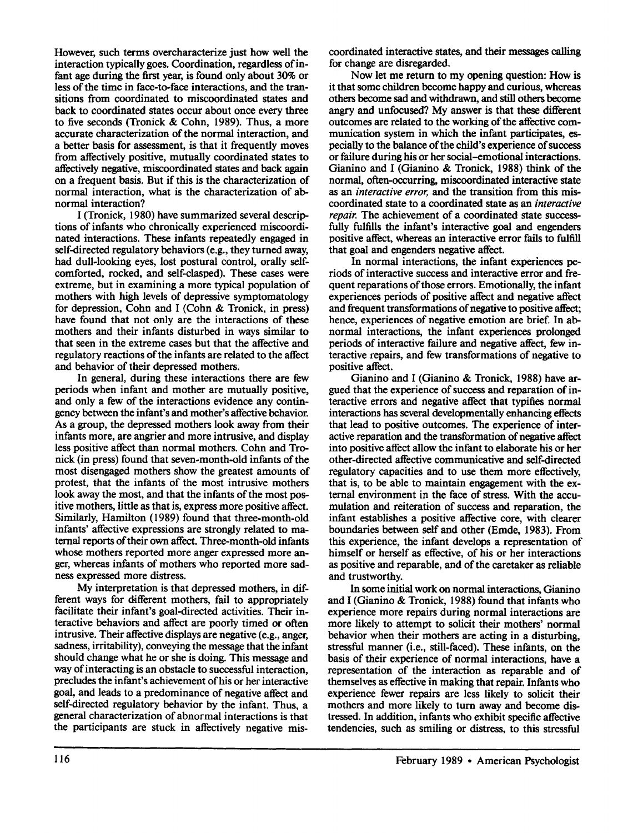However, such terms overcharacterize just how well the interaction typically goes. Coordination, regardless of infant age during the first year, is found only about 30% or less of the time in face-to-face interactions, and the transitions from coordinated to miscoordinated states and back to coordinated states occur about once every three to five seconds (Tronick & Cohn, 1989). Thus, a more accurate characterization of the normal interaction, and a better basis for assessment, is that it frequently moves from affectively positive, mutually coordinated states to affectively negative, miscoordinated states and back again on a frequent basis. But if this is the characterization of normal interaction, what is the characterization of abnormal interaction?

I (Tronick, 1980) have summarized several descriptions of infants who chronically experienced miscoordihated interactions. These infants repeatedly engaged in self-directed regulatory behaviors (e.g., they turned away, had dull-looking eyes, lost postural control, orally selfcomforted, rocked, and self-clasped). These cases were extreme, but in examining a more typical population of mothers with high levels of depressive symptomatology for depression, Cohn and I (Cohn & Tronick, in press) have found that not only are the interactions of these mothers and their infants disturbed in ways similar to that seen in the extreme cases but that the affective and regulatory reactions of the infants are related to the affect and behavior of their depressed mothers.

In general, during these interactions there are few periods when infant and mother are mutually positive, and only a few of the interactions evidence any contingency between the infant's and mother's affective behavior. As a group, the depressed mothers look away from their infants more, are angrier and more intrusive, and display less positive affect than normal mothers. Cohn and Tronick (in press) found that seven-month-old infants of the most disengaged mothers show the greatest amounts of protest, that the infants of the most intrusive mothers look away the most, and that the infants of the most positive mothers, little as that is, express more positive affect. Similarly, Hamilton (1989) found that three-month-old infants' affective expressions are strongly related to maternal reports of their own affect. Three-month-old infants whose mothers reported more anger expressed more anger, whereas infants of mothers who reported more sadness expressed more distress.

My interpretation is that depressed mothers, in different ways for different mothers, fail to appropriately facilitate their infant's goal-directed activities. Their interactive behaviors and affect are poorly timed or often intrusive. Their affective displays are negative (e.g., anger, sadness, irritability), conveying the message that the infant should change what he or she is doing. This message and way of interacting is an obstacle to successful interaction, precludes the infant's achievement of his or her interactive goal, and leads to a predominance of negative affect and self-directed regulatory behavior by the infant. Thus, a general characterization of abnormal interactions is that the participants are stuck in affectively negative miscoordinated interactive states, and their messages calling for change are disregarded.

Now let me return to my opening question: How is it that some children become happy and curious, whereas others become sad and withdrawn, and still others become angry and unfocused? My answer is that these different outcomes are related to the working of the affective communication system in which the infant participates, especially to the balance of the child's experience of success or failure during his or her social-emotional interactions. Gianino and I (Gianino & Tronick, 1988) think of the normal, often-occurring, miscoordinated interactive state as an *interactive error,* and the transition from this miscoordinated state to a coordinated state as an *interactive repair.* The achievement of a coordinated state successfully fulfills the infant's interactive goal and engenders positive affect, whereas an interactive error fails to fulfill that goal and engenders negative affect.

In normal interactions, the infant experiences periods of interactive success and interactive error and frequent reparations of those errors. Emotionally, the infant experiences periods of positive affect and negative affect and frequent transformations of negative to positive affect; hence, experiences of negative emotion are brief. In abnormal interactions, the infant experiences prolonged periods of interactive failure and negative affect, few interactive repairs, and few transformations of negative to positive affect.

Gianino and I (Gianino & Tronick, 1988) have argued that the experience of success and reparation of interactive errors and negative affect that typifies normal interactions has several developmentally enhancing effects that lead to positive outcomes. The experience of interactive reparation and the transformation of negative affect into positive affect allow the infant to elaborate his or her other-directed affective communicative and self-directed regulatory capacities and to use them more effectively, that is, to be able to maintain engagement with the external environment in the face of stress. With the accumulation and reiteration of success and reparation, the infant establishes a positive affective core, with clearer boundaries between self and other (Emde, 1983). From this experience, the infant develops a representation of himself or herself as effective, of his or her interactions as positive and reparable, and of the caretaker as reliable and trustworthy.

In some initial work on normal interactions, Gianino and I (Gianino & Tronick, 1988) found that infants who experience more repairs during normal interactions are more likely to attempt to solicit their mothers' normal behavior when their mothers are acting in a disturbing, stressful manner (i.e., still-faced). These infants, on the basis of their experience of normal interactions, have a representation of the interaction as reparable and of themselves as effective in making that repair. Infants who experience fewer repairs are less likely to solicit their mothers and more likely to turn away and become distressed. In addition, infants who exhibit specific affective tendencies, such as smiling or distress, to this stressful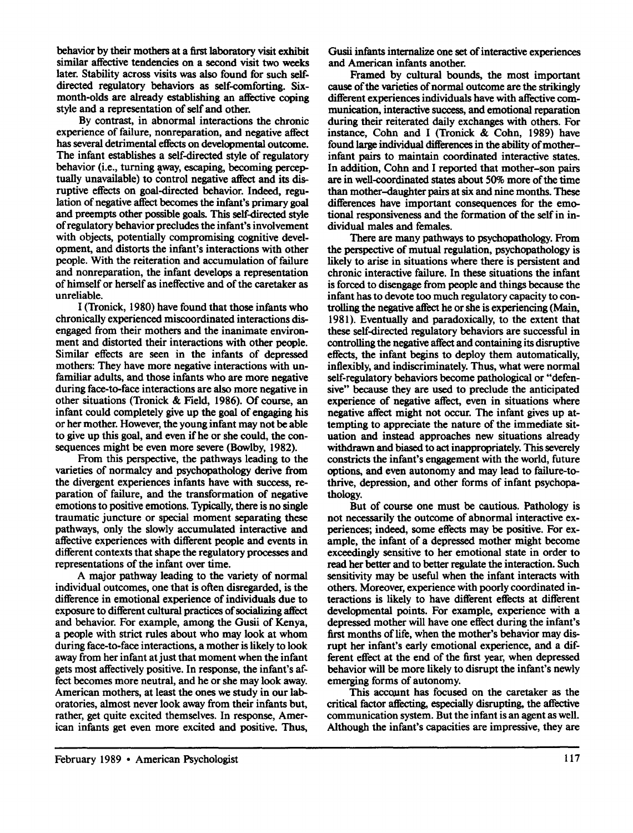behavior by their mothers at a first laboratory visit exhibit similar affective tendencies on a second visit two weeks later. Stability across visits was also found for such selfdirected regulatory behaviors as self-comforting. Sixmonth-olds are already establishing an affective coping style and a representation of self and other.

By contrast, in abnormal interactions the chronic experience of failure, nonreparation, and negative affect has several detrimental effects on developmental outcome. The infant establishes a self-directed style of regulatory behavior (i.e., turning away, escaping, becoming perceptually unavailable) to control negative affect and its disruptive effects on goal-directed behavior. Indeed, regulation of negative affect becomes the infant's primary goal and preempts other possible goals. This self-directed style of regulatory behavior precludes the infant's involvement with objects, potentially compromising cognitive development, and distorts the infant's interactions with other people. With the reiteration and accumulation of failure and nonreparation, the infant develops a representation of himself or herself as ineffective and of the caretaker as unreliable.

I (Tronick, 1980) have found that those infants who chronically experienced miscoordinated interactions disengaged from their mothers and the inanimate environment and distorted their interactions with other people. Similar effects are seen in the infants of depressed mothers: They have more negative interactions with unfamiliar adults, and those infants who are more negative during face-to-face interactions are also more negative in other situations (Tronick & Field, 1986). Of course, an infant could completely give up the goal of engaging his or her mother. However, the young infant may not be able to give up this goal, and even if he or she could, the consequences might be even more severe (Bowlby, 1982).

From this perspective, the pathways leading to the varieties of normalcy and psychopathology derive from the divergent experiences infants have with success, reparation of failure, and the transformation of negative emotions to positive emotions. Typically, there is no single traumatic juncture or special moment separating these pathways, only the slowly accumulated interactive and affective experiences with different people and events in different contexts that shape the regulatory processes and representations of the infant over time.

A major pathway leading to the variety of normal individual outcomes, one that is often disregarded, is the difference in emotional experience of individuals due to exposure to different cultural practices of socializing affect and behavior. For example, among the Gusii of Kenya, a people with strict rules about who may look at whom during face-to-face interactions, a mother is likely to look away from her infant at just that moment when the infant gets most affectively positive. In response, the infant's affect becomes more neutral, and he or she may look away. American mothers, at least the ones we study in our laboratories, almost never look away from their infants but, rather, get quite excited themselves. In response, American infants get even more excited and positive. Thus,

Gusii infants internalize one set of interactive experiences and American infants another.

Framed by cultural bounds, the most important cause of the varieties of normal outcome are the strikingly different experiences individuals have with affective communieation, interactive success, and emotional reparation during their reiterated daily exchanges with others. For instance, Cohn and I (Tronick & Cohn, 1989) have found large individual differences in the ability of motherinfant pairs to maintain coordinated interactive states. In addition, Cohn and I reported that mother-son pairs are in well-coordinated states about 50% more of the time than mother-daughter pairs at six and nine months. These differences have important consequences for the emotional responsiveness and the formation of the self in individual males and females.

There are many pathways to psychopathology. From the perspective of mutual regulation, psychopathology is likely to arise in situations where there is persistent and chronic interactive failure. In these situations the infant is forced to disengage from people and things because the infant has to devote too much regulatory capacity to controlling the negative affect he or she is experiencing (Main, 1981). Eventually and paradoxically, to the extent that these self-directed regulatory behaviors are successful in controlling the negative affect and containing its disruptive effects, the infant begins to deploy them automatically, inflexibly, and indiscriminately. Thus, what were normal self-regulatory behaviors become pathological or "defensive" because they are used to preclude the anticipated experience of negative affect, even in situations where negative affect might not occur. The infant gives up attempting to appreciate the nature of the immediate situation and instead approaches new situations already withdrawn and biased to act inappropriately. This severely constricts the infant's engagement with the world, future options, and even autonomy and may lead to failure-tothrive, depression, and other forms of infant psychopathology.

But of course one must be cautious. Pathology is not necessarily the outcome of abnormal interactive experiences; indeed, some effects may be positive. For example, the infant of a depressed mother might become exceedingly sensitive to her emotional state in order to read her better and to better regulate the interaction. Such sensitivity may be useful when the infant interacts with others. Moreover, experience with poorly coordinated interactions is likely to have different effects at different developmental points. For example, experience with a depressed mother will have one effect during the infant's first months of fife, when the mother's behavior may disrupt her infant's early emotional experience, and a different effect at the end of the first year, when depressed behavior will be more likely to disrupt the infant's newly emerging forms of autonomy.

This account has focused on the caretaker as the critical factor affecting, especially disrupting, the affective communication system. But the infant is an agent as well. Although the infant's capacities are impressive, they are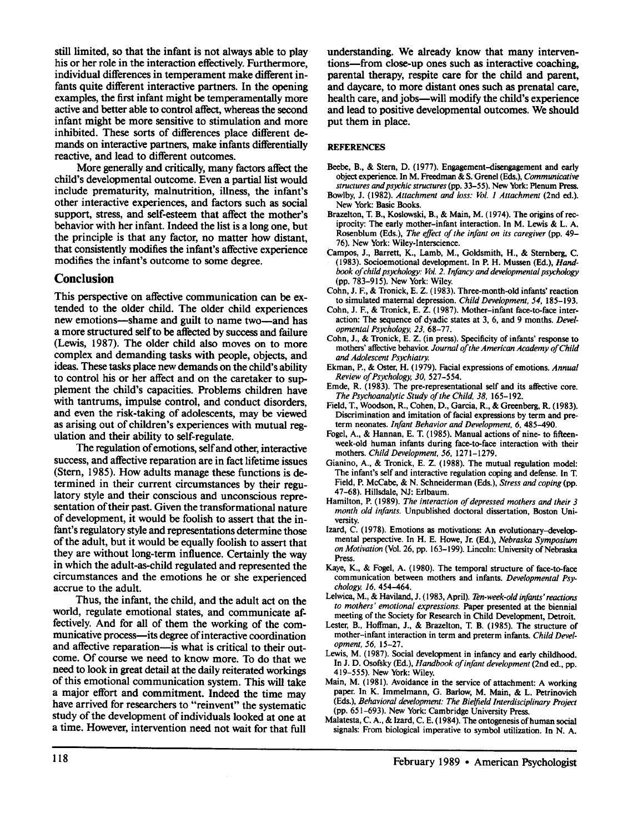still limited, so that the infant is not always able to play his or her role in the interaction effectively. Furthermore, individual differences in temperament make different infants quite different interactive partners. In the opening examples, the first infant might be temperamentally more active and better able to control affect, whereas the second infant might be more sensitive to stimulation and more inhibited. These sorts of differences place different demands on interactive partners, make infants differentially reactive, and lead to different outcomes.

More generally and critically, many factors affect the child's developmental outcome. Even a partial list would include prematurity, malnutrition, illness, the infant's other interactive experiences, and factors such as social support, stress, and self-esteem that affect the mother's behavior with her infant. Indeed the list is a long one, but the principle is that any factor, no matter how distant, that consistently modifies the infant's affective experience modifies the infant's outcome to some degree.

#### Conclusion

This perspective on affective communication can be extended to the older child. The older child experiences new emotions--shame and guilt to name two---and has a more structured self to be affected by success and failure (Lewis, 1987). The older child also moves on to more complex and demanding tasks with people, objects, and ideas. These tasks place new demands on the child's ability to control his or her affect and on the caretaker to supplement the child's capacities. Problems children have with tantrums, impulse control, and conduct disorders, and even the risk-taking of adolescents, may be viewed as arising out of children's experiences with mutual regulation and their ability to self-regulate.

The regulation of emotions, self and other, interactive success, and affective reparation are in fact lifetime issues (Stern, 1985). How adults manage these functions is determined in their current circumstances by their regulatory style and their conscious and unconscious representation of their past. Given the transformational nature of development, it would be foolish to assert that the infant's regulatory style and representations determine those of the adult, but it would be equally foolish to assert that they are without long-term influence. Certainly the way in which the adult-as-child regulated and represented the circumstances and the emotions he or she experienced accrue to the adult.

Thus, the infant, the child, and the adult act on the world, regulate emotional states, and communicate affectively. And for all of them the working of the communicative process—its degree of interactive coordination and affective reparation--is what is critical to their outcome. Of course we need to know more. To do that we need to look in great detail at the daily reiterated workings of this emotional communication system. This will take a major effort and commitment. Indeed the time may have arrived for researchers to "reinvent" the systematic study of the development of individuals looked at one at a time. However, intervention need not wait for that full

understanding. We already know that many interventions-from close-up ones such as interactive coaching, parental therapy, respite care for the child and parent, and daycare, to more distant ones such as prenatal care, health care, and jobs—will modify the child's experience and lead to positive developmental outcomes. We should put them in place.

#### **REFERENCES**

- Beebe, B., & Stem, D. (1977). Engagement-disengagement and early object experience. In M. Freedman & S. Grenel (Eds.), *Communicative structures and psychic structures* (pp. 33-55). New York: Plenum Press.
- Bowlby, J. (1982). *Attachment and loss: VOl. I Attachment* (2nd ed.). New York: Basic Books.
- Brazelton, T. B., Koslowski, B., & Main, M. (1974). The origins of reciprocity: The early mother-infant interaction. In M. Lewis & L. A. Rosenblum (Eds.), *The effect of the infant on its caregiver* (pp. 49- 76). New York: Wiley-lnterscience.
- Campos, J., Barrett, K., Lamb, M., Goldsmith, H., & Sternberg, C. (1983). Socioemotional development. In P. H. Mussen (Ed.), *Handbook of child psychology: VOl. 2. Infancy and developmental psychology*  (pp. 783-915). New York: Wiley.
- **Cohn, J. E, & Tronick, E. Z.** (1983). Three-month-old infants' reaction to simulated maternal depression. *Child Development, 54,* 185-193.
- Cohn, J. E, & Tronick, E. Z. (1987). Mother-infant face-to-face interaction: The sequence of dyadic states at 3, 6, and 9 months. *Developmental Psychology, 23,* 68-77.
- Cohn, J., & Tronick, E. Z. (in press). Specificity of infants' response to mothers' affective behavior. *Journal of the American Academy of Child and Adolescent Psychiatry.*
- Ekman, P., & Oster, H. (1979). Facial expressions of emotions. *Annual Review of Psychology, 30,* 527-554.
- Emde, R. (1983). The pre-representationai self and its affective core. *The Psychoanalytic Study of the Child, 38,* 165-192.
- Field, T., Woodson, R., Cohen, D., Garcia, R., & Greenberg, R. (1983). Discrimination and imitation of facial expressions by term and preterm neonates. *Infant Behavior and Development, 6,* 485-490.
- Fogel, **A., & Hannan, E. T.** (1985). Manual actions of nine- to **fifteenweek-old** human infants during face-to-face interaction with their mothers. *Child Development, 56,* 1271-1279.
- Gianino, A., & Tronick, E. Z. (1988). The mutual regulation model: The infant's self and interactive regulation coping and defense. In T. Field, P. McCabe, & N. Schneiderman (Eds.), *Stress and coping* (pp. 47-68). Hillsdale, NJ: Erlbaum.
- Hamilton, P. (1989). *The interaction of depressed mothers and their 3 month old infants.* Unpublished doctoral dissertation, Boston University.
- Izard, C. (1978). Emotions as motivations: An evolutionary-developmental perspective. In H. E. Howe, Jr. (Ed.), *Nebraska Symposium*  on Motivation (Vol. 26, pp. 163-199). Lincoln: University of Nebraska Press.
- Kaye, K., & Fogel, A. (1980). The temporal structure of face-to-face communication between mothers and infants. *Developmental Psychology, 16.* 454-464.
- Lelwica, M., & Haviland, J. (1983, April). *Ten-week-old infants'reactions to mothers" emotional expressions. Paper* presented at the biennial meeting of the Society for Research in Child Development, Detroit.
- Lester, B., Hoffman, J., & Brazelton, T. B. (1985). The structure of mother-infant interaction in term and preterm infants. *Child Development, 56,* 15-27.
- Lewis, M. (1987). Social development in infancy and early childhood. In J. D. Osofsky (Ed.), *Handbook ofinfant development* (2nd ed., pp. 419-555). New York: Wiley.
- Main, M. (1981). Avoidance in the service of attachment: A working paper. In K. Immelmann, G. Barlow, M. Main, & L. Petrinovich *(Eds.), Behavioral development: The Bielfield Interdisciplinary Project*  (pp. 651-693). New York: Cambridge University Press.
- Malatesta, C. A., & Izard, C. E. (1984). The ontogenesis of human social signals: From biological imperative to symbol utilization. In N. A.